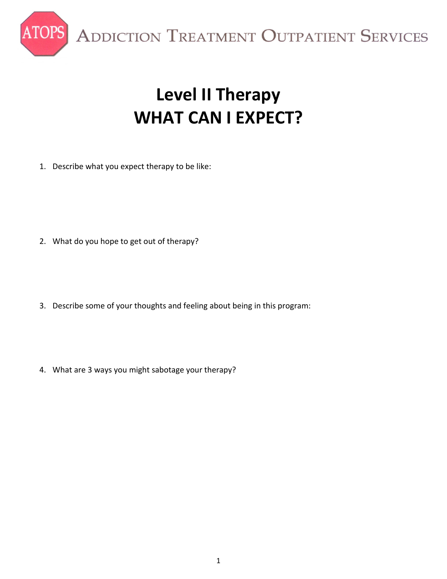

ADDICTION TREATMENT OUTPATIENT SERVICES

# **Level II Therapy WHAT CAN I EXPECT?**

1. Describe what you expect therapy to be like:

- 2. What do you hope to get out of therapy?
- 3. Describe some of your thoughts and feeling about being in this program:
- 4. What are 3 ways you might sabotage your therapy?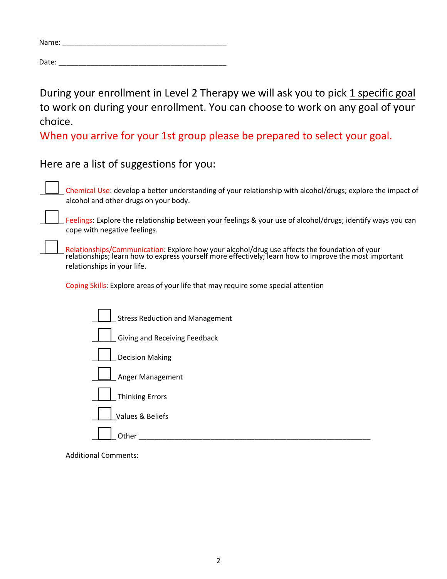| Name: |  |  |  |
|-------|--|--|--|
|       |  |  |  |

Date: $\_$ 

During your enrollment in Level 2 Therapy we will ask you to pick 1 specific goal to work on during your enrollment. You can choose to work on any goal of your choice.

When you arrive for your 1st group please be prepared to select your goal.

Here are a list of suggestions for you:

\_\_\_\_\_\_ Chemical Use: develop a better understanding of your relationship with alcohol/drugs; explore the impact of alcohol and other drugs on your body.

Feelings: Explore the relationship between your feelings & your use of alcohol/drugs; identify ways you can cope with negative feelings.

**LETTICO Relationships/Communication:** Explore how your alcohol/drug use affects the foundation of your relationships; learn how to express yourself more effectively; learn how to improve the most important relationships in your life.

Coping Skills: Explore areas of your life that may require some special attention

| <b>Stress Reduction and Management</b> |
|----------------------------------------|
| Giving and Receiving Feedback          |
| <b>Decision Making</b>                 |
| Anger Management                       |
| <b>Thinking Errors</b>                 |
| Values & Beliefs                       |
| Other                                  |

Additional Comments: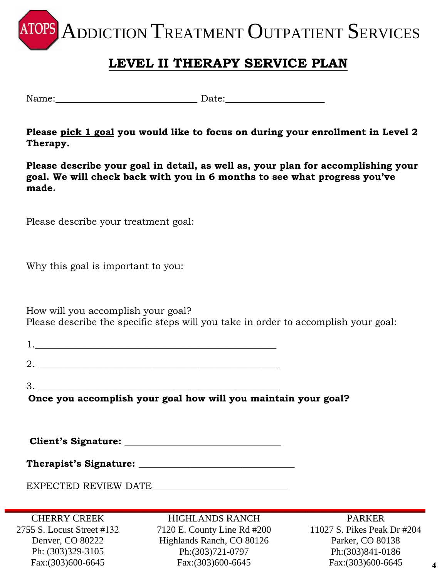ADDICTION TREATMENT OUTPATIENT SERVICES

### **LEVEL II THERAPY SERVICE PLAN**

Name:**\_\_\_\_\_\_\_\_\_\_\_\_\_\_\_\_\_\_\_\_\_\_\_\_\_\_\_\_\_\_** Date:**\_\_\_\_\_\_\_\_\_\_\_\_\_\_\_\_\_\_\_\_\_** 

**Please pick 1 goal you would like to focus on during your enrollment in Level 2 Therapy.** 

**Please describe your goal in detail, as well as, your plan for accomplishing your goal. We will check back with you in 6 months to see what progress you've made.**

Please describe your treatment goal:

Why this goal is important to you:

How will you accomplish your goal? Please describe the specific steps will you take in order to accomplish your goal:

 $3.$ 

**Once you accomplish your goal how will you maintain your goal?**

**Client's Signature: \_\_\_\_\_\_\_\_\_\_\_\_\_\_\_\_\_\_\_\_\_\_\_\_\_\_\_\_\_\_\_\_\_** 

| <b>Therapist's Signature:</b> |  |
|-------------------------------|--|
|-------------------------------|--|

EXPECTED REVIEW DATE\_\_\_\_\_\_\_\_\_\_\_\_\_\_\_\_\_\_\_\_\_\_\_\_\_\_\_\_\_

CHERRY CREEK 2755 S. Locust Street #132 Denver, CO 80222 Ph: (303)329-3105 Fax:(303)600-6645

HIGHLANDS RANCH 7120 E. County Line Rd #200 Highlands Ranch, CO 80126 Ph:(303)721-0797 Fax:(303)600-6645

PARKER 11027 S. Pikes Peak Dr #204 Parker, CO 80138 Ph:(303)841-0186 Fax:(303)600-6645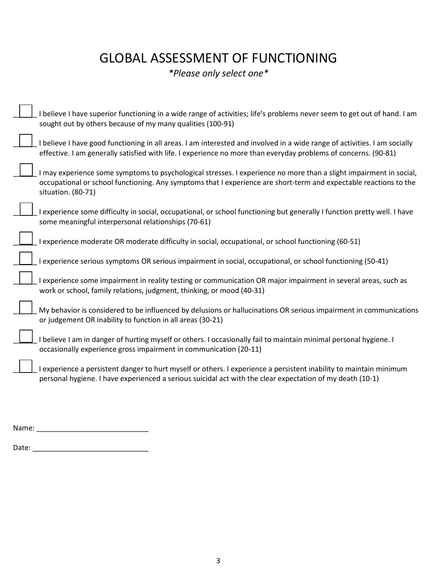## GLOBAL ASSESSMENT OF FUNCTIONING

*\*Please only select one\**

| believe I have superior functioning in a wide range of activities; life's problems never seem to get out of hand. I am                                                                                                                                        |
|---------------------------------------------------------------------------------------------------------------------------------------------------------------------------------------------------------------------------------------------------------------|
| sought out by others because of my many qualities (100-91)                                                                                                                                                                                                    |
| believe I have good functioning in all areas. I am interested and involved in a wide range of activities. I am socially<br>effective. I am generally satisfied with life. I experience no more than everyday problems of concerns. (90-81)                    |
| I may experience some symptoms to psychological stresses. I experience no more than a slight impairment in social,<br>occupational or school functioning. Any symptoms that I experience are short-term and expectable reactions to the<br>situation. (80-71) |
| experience some difficulty in social, occupational, or school functioning but generally I function pretty well. I have<br>some meaningful interpersonal relationships (70-61)                                                                                 |
| experience moderate OR moderate difficulty in social, occupational, or school functioning (60-51)                                                                                                                                                             |
| experience serious symptoms OR serious impairment in social, occupational, or school functioning (50-41)                                                                                                                                                      |
| experience some impairment in reality testing or communication OR major impairment in several areas, such as<br>work or school, family relations, judgment, thinking, or mood (40-31)                                                                         |
| My behavior is considered to be influenced by delusions or hallucinations OR serious impairment in communications<br>or judgement OR inability to function in all areas (30-21)                                                                               |
| believe I am in danger of hurting myself or others. I occasionally fail to maintain minimal personal hygiene. I<br>occasionally experience gross impairment in communication (20-11)                                                                          |
| l experience a persistent danger to hurt myself or others. I experience a persistent inability to maintain minimum<br>personal hygiene. I have experienced a serious suicidal act with the clear expectation of my death (10-1)                               |
|                                                                                                                                                                                                                                                               |

Name: \_\_\_\_\_\_\_\_\_\_\_\_\_\_\_\_\_\_\_\_\_\_\_\_\_\_\_\_

Date: \_\_\_\_\_\_\_\_\_\_\_\_\_\_\_\_\_\_\_\_\_\_\_\_\_\_\_\_\_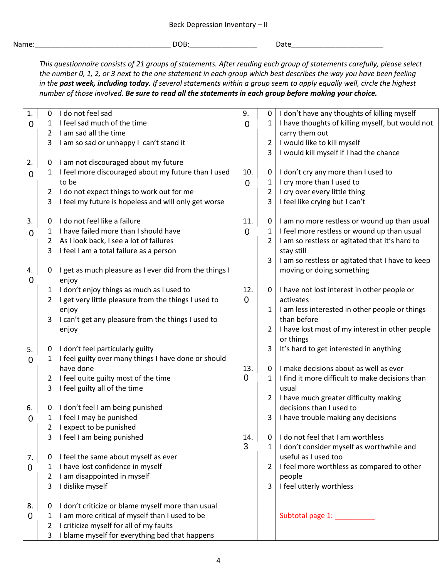| Name |  |  |  |
|------|--|--|--|
|      |  |  |  |
|      |  |  |  |

Name:\_\_\_\_\_\_\_\_\_\_\_\_\_\_\_\_\_\_\_\_\_\_\_\_\_\_\_\_\_\_\_\_\_\_ DOB:\_\_\_\_\_\_\_\_\_\_\_\_\_\_\_\_\_ Date\_\_\_\_\_\_\_\_\_\_\_\_\_\_\_\_\_\_\_\_\_\_\_

*This questionnaire consists of 21 groups of statements. After reading each group of statements carefully, please select the number 0, 1, 2, or 3 next to the one statement in each group which best describes the way you have been feeling in the past week, including today. If several statements within a group seem to apply equally well, circle the highest number of those involved. Be sure to read all the statements in each group before making your choice.*

| 1.             | 0                | I do not feel sad                                                                        | 9.          | 0              | I don't have any thoughts of killing myself      |
|----------------|------------------|------------------------------------------------------------------------------------------|-------------|----------------|--------------------------------------------------|
| $\overline{0}$ | 1                | I feel sad much of the time                                                              | $\mathbf 0$ | 1              | I have thoughts of killing myself, but would not |
|                | $\overline{2}$   | I am sad all the time                                                                    |             |                | carry them out                                   |
|                | 3                | I am so sad or unhappy I can't stand it                                                  |             | 2              | I would like to kill myself                      |
|                |                  |                                                                                          |             | 3              | I would kill myself if I had the chance          |
| 2.             | $\boldsymbol{0}$ | I am not discouraged about my future                                                     |             |                |                                                  |
| $\mathbf 0$    | 1                | I feel more discouraged about my future than I used                                      | 10.         | 0              | I don't cry any more than I used to              |
|                |                  | to be                                                                                    | $\mathbf 0$ | 1              | I cry more than I used to                        |
|                | $\overline{2}$   | I do not expect things to work out for me                                                |             | $\overline{2}$ | I cry over every little thing                    |
|                | 3                | I feel my future is hopeless and will only get worse                                     |             | 3              | I feel like crying but I can't                   |
|                |                  |                                                                                          |             |                |                                                  |
| 3.             | $\boldsymbol{0}$ | I do not feel like a failure                                                             | 11.         | 0              | I am no more restless or wound up than usual     |
| 0              | 1                | I have failed more than I should have                                                    | $\mathbf 0$ | 1              | I feel more restless or wound up than usual      |
|                | 2                | As I look back, I see a lot of failures                                                  |             | 2              | I am so restless or agitated that it's hard to   |
|                | 3                | I feel I am a total failure as a person                                                  |             |                | stay still                                       |
|                |                  |                                                                                          |             | 3              | I am so restless or agitated that I have to keep |
| 4.             | 0                | I get as much pleasure as I ever did from the things I                                   |             |                | moving or doing something                        |
| $\overline{0}$ |                  | enjoy                                                                                    |             |                |                                                  |
|                | 1                | I don't enjoy things as much as I used to                                                | 12.         | 0              | I have not lost interest in other people or      |
|                | $\overline{2}$   | I get very little pleasure from the things I used to                                     | 0           |                | activates                                        |
|                |                  | enjoy                                                                                    |             | 1              | I am less interested in other people or things   |
|                | 3                | I can't get any pleasure from the things I used to                                       |             |                | than before                                      |
|                |                  | enjoy                                                                                    |             | 2              | I have lost most of my interest in other people  |
|                |                  |                                                                                          |             |                | or things                                        |
| 5.             | 0                | I don't feel particularly guilty<br>I feel guilty over many things I have done or should |             | 3              | It's hard to get interested in anything          |
| 0              | 1                | have done                                                                                | 13.         | $\mathbf 0$    | I make decisions about as well as ever           |
|                | $\overline{2}$   | I feel quite guilty most of the time                                                     | 0           | 1              | I find it more difficult to make decisions than  |
|                | 3                | I feel guilty all of the time                                                            |             |                | usual                                            |
|                |                  |                                                                                          |             | 2              | I have much greater difficulty making            |
| 6.             | 0                | I don't feel I am being punished                                                         |             |                | decisions than I used to                         |
| 0              | $\mathbf{1}$     | I feel I may be punished                                                                 |             | 3              | I have trouble making any decisions              |
|                | 2                | I expect to be punished                                                                  |             |                |                                                  |
|                |                  | I feel I am being punished                                                               | 14.         | 0              | I do not feel that I am worthless                |
|                |                  |                                                                                          | 3           | $\mathbf{1}$   | I don't consider myself as worthwhile and        |
| 7.             | 0                | I feel the same about myself as ever                                                     |             |                | useful as I used too                             |
| 0              | 1                | I have lost confidence in myself                                                         |             | $\overline{2}$ | I feel more worthless as compared to other       |
|                | 2                | I am disappointed in myself                                                              |             |                | people                                           |
|                | 3                | I dislike myself                                                                         |             | 3              | I feel utterly worthless                         |
|                |                  |                                                                                          |             |                |                                                  |
| 8.             | $\boldsymbol{0}$ | I don't criticize or blame myself more than usual                                        |             |                |                                                  |
| 0              | 1                | I am more critical of myself than I used to be                                           |             |                | Subtotal page 1: _________                       |
|                | 2                | I criticize myself for all of my faults                                                  |             |                |                                                  |
|                | 3                | I blame myself for everything bad that happens                                           |             |                |                                                  |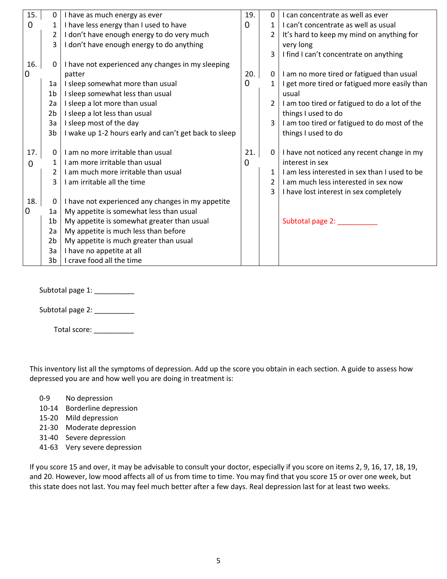| 15.         | 0              | I have as much energy as ever                         | 19.      | 0        | I can concentrate as well as ever             |
|-------------|----------------|-------------------------------------------------------|----------|----------|-----------------------------------------------|
| $\mathbf 0$ |                | I have less energy than I used to have                | 0        | 1        | I can't concentrate as well as usual          |
|             | $\overline{2}$ | I don't have enough energy to do very much            |          |          | It's hard to keep my mind on anything for     |
|             | 3              | I don't have enough energy to do anything             |          |          | very long                                     |
|             |                |                                                       |          | 3        | I find I can't concentrate on anything        |
| 16.         | 0              | I have not experienced any changes in my sleeping     |          |          |                                               |
| 0           |                | patter                                                | 20.      | 0        | I am no more tired or fatigued than usual     |
|             | 1a             | I sleep somewhat more than usual                      | 0        | 1        | I get more tired or fatigued more easily than |
|             | 1 <sub>b</sub> | I sleep somewhat less than usual                      |          |          | usual                                         |
|             | 2a             | I sleep a lot more than usual                         |          | 2        | I am too tired or fatigued to do a lot of the |
|             | 2 <sub>b</sub> | I sleep a lot less than usual                         |          |          | things I used to do                           |
|             | 3a             | I sleep most of the day                               |          | 3        | I am too tired or fatigued to do most of the  |
|             | 3 <sub>b</sub> | I wake up 1-2 hours early and can't get back to sleep |          |          | things I used to do                           |
|             |                |                                                       |          |          |                                               |
| 17.         | $\Omega$       | I am no more irritable than usual                     | 21.      | $\Omega$ | I have not noticed any recent change in my    |
| $\mathbf 0$ |                | I am more irritable than usual                        | $\Omega$ |          | interest in sex                               |
|             | $\overline{2}$ | I am much more irritable than usual                   |          | 1        | I am less interested in sex than I used to be |
|             | 3              | I am irritable all the time                           |          | 2        | I am much less interested in sex now          |
|             |                |                                                       |          | 3        | I have lost interest in sex completely        |
| 18.         | 0              | I have not experienced any changes in my appetite     |          |          |                                               |
| 0           | 1a             | My appetite is somewhat less than usual               |          |          |                                               |
|             | 1 <sub>b</sub> | My appetite is somewhat greater than usual            |          |          | Subtotal page 2:                              |
|             | 2a             | My appetite is much less than before                  |          |          |                                               |
|             | 2 <sub>b</sub> | My appetite is much greater than usual                |          |          |                                               |
|             | 3a             | I have no appetite at all                             |          |          |                                               |
|             | 3b             | I crave food all the time                             |          |          |                                               |

Subtotal page 1:

Subtotal page 2:

Total score: \_\_\_\_\_\_\_\_\_\_\_

This inventory list all the symptoms of depression. Add up the score you obtain in each section. A guide to assess how depressed you are and how well you are doing in treatment is:

- 0-9 No depression
- 10-14 Borderline depression
- 15-20 Mild depression
- 21-30 Moderate depression
- 31-40 Severe depression
- 41-63 Very severe depression

If you score 15 and over, it may be advisable to consult your doctor, especially if you score on items 2, 9, 16, 17, 18, 19, and 20. However, low mood affects all of us from time to time. You may find that you score 15 or over one week, but this state does not last. You may feel much better after a few days. Real depression last for at least two weeks.